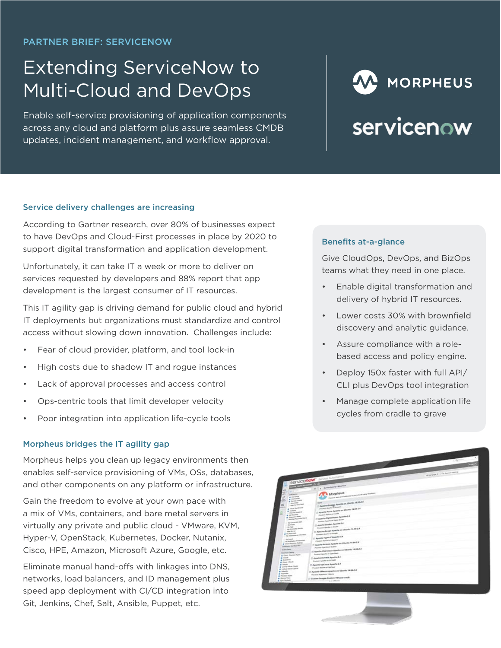# Extending ServiceNow to Multi-Cloud and DevOps

Enable self-service provisioning of application components across any cloud and platform plus assure seamless CMDB updates, incident management, and workflow approval.

# W MORPHEUS **SERVICEDOW**

#### Service delivery challenges are increasing

According to Gartner research, over 80% of businesses expect to have DevOps and Cloud-First processes in place by 2020 to support digital transformation and application development.

Unfortunately, it can take IT a week or more to deliver on services requested by developers and 88% report that app development is the largest consumer of IT resources.

This IT agility gap is driving demand for public cloud and hybrid IT deployments but organizations must standardize and control access without slowing down innovation. Challenges include:

- Fear of cloud provider, platform, and tool lock-in
- High costs due to shadow IT and rogue instances
- Lack of approval processes and access control
- Ops-centric tools that limit developer velocity
- Poor integration into application life-cycle tools

#### Morpheus bridges the IT agility gap

Morpheus helps you clean up legacy environments then enables self-service provisioning of VMs, OSs, databases, and other components on any platform or infrastructure.

Gain the freedom to evolve at your own pace with a mix of VMs, containers, and bare metal servers in virtually any private and public cloud - VMware, KVM, Hyper-V, OpenStack, Kubernetes, Docker, Nutanix, Cisco, HPE, Amazon, Microsoft Azure, Google, etc.

Eliminate manual hand-offs with linkages into DNS, networks, load balancers, and ID management plus speed app deployment with CI/CD integration into Git, Jenkins, Chef, Salt, Ansible, Puppet, etc.

#### Benefits at-a-glance

Give CloudOps, DevOps, and BizOps teams what they need in one place.

- Enable digital transformation and delivery of hybrid IT resources.
- Lower costs 30% with brownfield discovery and analytic guidance.
- Assure compliance with a rolebased access and policy engine.
- Deploy 150x faster with full API/ CLI plus DevOps tool integration
- Manage complete application life cycles from cradle to grave